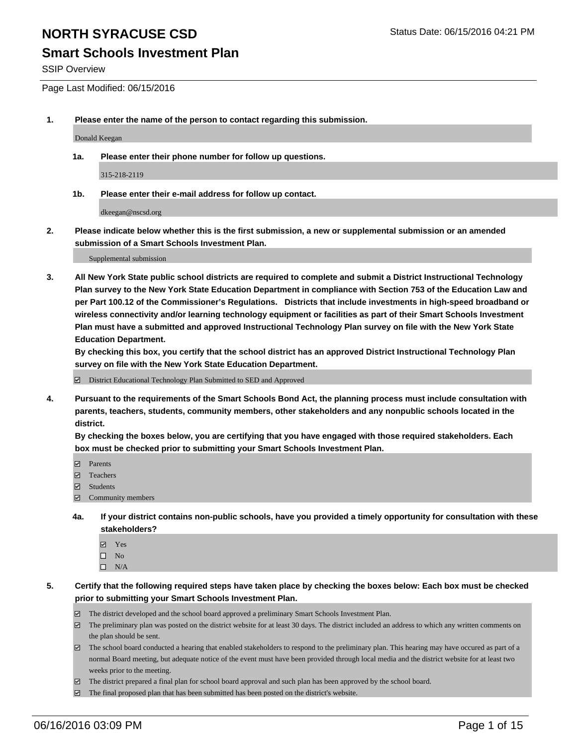#### **Smart Schools Investment Plan**

SSIP Overview

Page Last Modified: 06/15/2016

**1. Please enter the name of the person to contact regarding this submission.**

Donald Keegan

**1a. Please enter their phone number for follow up questions.**

315-218-2119

**1b. Please enter their e-mail address for follow up contact.**

dkeegan@nscsd.org

**2. Please indicate below whether this is the first submission, a new or supplemental submission or an amended submission of a Smart Schools Investment Plan.**

Supplemental submission

**3. All New York State public school districts are required to complete and submit a District Instructional Technology Plan survey to the New York State Education Department in compliance with Section 753 of the Education Law and per Part 100.12 of the Commissioner's Regulations. Districts that include investments in high-speed broadband or wireless connectivity and/or learning technology equipment or facilities as part of their Smart Schools Investment Plan must have a submitted and approved Instructional Technology Plan survey on file with the New York State Education Department.** 

**By checking this box, you certify that the school district has an approved District Instructional Technology Plan survey on file with the New York State Education Department.**

District Educational Technology Plan Submitted to SED and Approved

**4. Pursuant to the requirements of the Smart Schools Bond Act, the planning process must include consultation with parents, teachers, students, community members, other stakeholders and any nonpublic schools located in the district.** 

**By checking the boxes below, you are certifying that you have engaged with those required stakeholders. Each box must be checked prior to submitting your Smart Schools Investment Plan.**

- **Parents**
- Teachers
- $\blacksquare$  Students
- Community members
- **4a. If your district contains non-public schools, have you provided a timely opportunity for consultation with these stakeholders?**
	- Yes  $\square$  No
	- $\square$  N/A
- **5. Certify that the following required steps have taken place by checking the boxes below: Each box must be checked prior to submitting your Smart Schools Investment Plan.**
	- The district developed and the school board approved a preliminary Smart Schools Investment Plan.
	- $\Box$  The preliminary plan was posted on the district website for at least 30 days. The district included an address to which any written comments on the plan should be sent.
	- $\Box$  The school board conducted a hearing that enabled stakeholders to respond to the preliminary plan. This hearing may have occured as part of a normal Board meeting, but adequate notice of the event must have been provided through local media and the district website for at least two weeks prior to the meeting.
	- The district prepared a final plan for school board approval and such plan has been approved by the school board.
	- $\boxdot$  The final proposed plan that has been submitted has been posted on the district's website.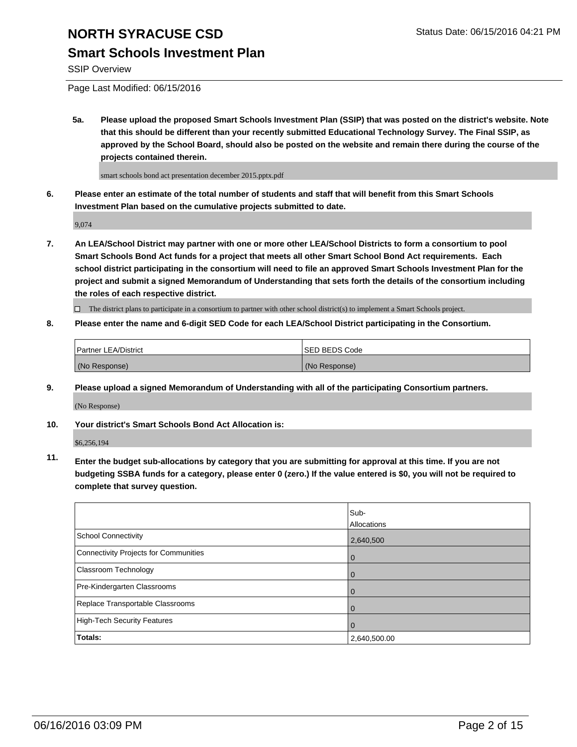### **Smart Schools Investment Plan**

SSIP Overview

Page Last Modified: 06/15/2016

**5a. Please upload the proposed Smart Schools Investment Plan (SSIP) that was posted on the district's website. Note that this should be different than your recently submitted Educational Technology Survey. The Final SSIP, as approved by the School Board, should also be posted on the website and remain there during the course of the projects contained therein.**

smart schools bond act presentation december 2015.pptx.pdf

**6. Please enter an estimate of the total number of students and staff that will benefit from this Smart Schools Investment Plan based on the cumulative projects submitted to date.**

9,074

**7. An LEA/School District may partner with one or more other LEA/School Districts to form a consortium to pool Smart Schools Bond Act funds for a project that meets all other Smart School Bond Act requirements. Each school district participating in the consortium will need to file an approved Smart Schools Investment Plan for the project and submit a signed Memorandum of Understanding that sets forth the details of the consortium including the roles of each respective district.**

 $\Box$  The district plans to participate in a consortium to partner with other school district(s) to implement a Smart Schools project.

**8. Please enter the name and 6-digit SED Code for each LEA/School District participating in the Consortium.**

| <b>Partner LEA/District</b> | ISED BEDS Code |
|-----------------------------|----------------|
| (No Response)               | (No Response)  |

**9. Please upload a signed Memorandum of Understanding with all of the participating Consortium partners.**

(No Response)

**10. Your district's Smart Schools Bond Act Allocation is:**

\$6,256,194

**11. Enter the budget sub-allocations by category that you are submitting for approval at this time. If you are not budgeting SSBA funds for a category, please enter 0 (zero.) If the value entered is \$0, you will not be required to complete that survey question.**

|                                       | Sub-         |
|---------------------------------------|--------------|
|                                       | Allocations  |
| <b>School Connectivity</b>            | 2,640,500    |
| Connectivity Projects for Communities | $\Omega$     |
| Classroom Technology                  | 0            |
| Pre-Kindergarten Classrooms           | 0            |
| Replace Transportable Classrooms      | 0            |
| High-Tech Security Features           | 0            |
| <b>Totals:</b>                        | 2,640,500.00 |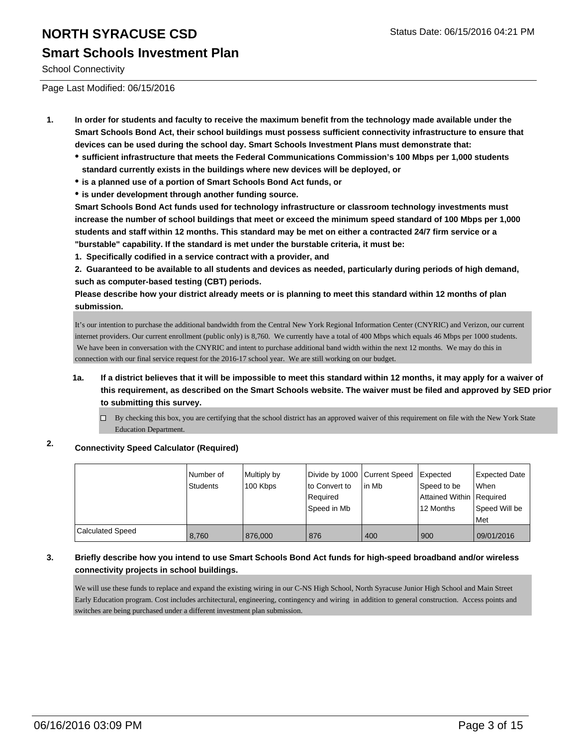## **NORTH SYRACUSE CSD** Status Date: 06/15/2016 04:21 PM **Smart Schools Investment Plan**

School Connectivity

Page Last Modified: 06/15/2016

- **1. In order for students and faculty to receive the maximum benefit from the technology made available under the Smart Schools Bond Act, their school buildings must possess sufficient connectivity infrastructure to ensure that devices can be used during the school day. Smart Schools Investment Plans must demonstrate that:**
	- **sufficient infrastructure that meets the Federal Communications Commission's 100 Mbps per 1,000 students standard currently exists in the buildings where new devices will be deployed, or**
	- **is a planned use of a portion of Smart Schools Bond Act funds, or**
	- **is under development through another funding source.**

**Smart Schools Bond Act funds used for technology infrastructure or classroom technology investments must increase the number of school buildings that meet or exceed the minimum speed standard of 100 Mbps per 1,000 students and staff within 12 months. This standard may be met on either a contracted 24/7 firm service or a "burstable" capability. If the standard is met under the burstable criteria, it must be:**

**1. Specifically codified in a service contract with a provider, and**

**2. Guaranteed to be available to all students and devices as needed, particularly during periods of high demand, such as computer-based testing (CBT) periods.**

**Please describe how your district already meets or is planning to meet this standard within 12 months of plan submission.**

It's our intention to purchase the additional bandwidth from the Central New York Regional Information Center (CNYRIC) and Verizon, our current internet providers. Our current enrollment (public only) is 8,760. We currently have a total of 400 Mbps which equals 46 Mbps per 1000 students. We have been in conversation with the CNYRIC and intent to purchase additional band width within the next 12 months. We may do this in connection with our final service request for the 2016-17 school year. We are still working on our budget.

- **1a. If a district believes that it will be impossible to meet this standard within 12 months, it may apply for a waiver of this requirement, as described on the Smart Schools website. The waiver must be filed and approved by SED prior to submitting this survey.**
	- $\Box$  By checking this box, you are certifying that the school district has an approved waiver of this requirement on file with the New York State Education Department.

#### **2. Connectivity Speed Calculator (Required)**

|                  | Number of<br><b>Students</b> | Multiply by<br>100 Kbps | Divide by 1000 Current Speed<br>to Convert to<br>Reauired<br>Speed in Mb | lin Mb | Expected<br>Speed to be<br>Attained Within Required<br>12 Months | Expected Date<br><b>When</b><br>Speed Will be<br><b>Met</b> |
|------------------|------------------------------|-------------------------|--------------------------------------------------------------------------|--------|------------------------------------------------------------------|-------------------------------------------------------------|
| Calculated Speed | 8,760                        | 876,000                 | 876                                                                      | 400    | 900                                                              | 09/01/2016                                                  |

#### **3. Briefly describe how you intend to use Smart Schools Bond Act funds for high-speed broadband and/or wireless connectivity projects in school buildings.**

We will use these funds to replace and expand the existing wiring in our C-NS High School, North Syracuse Junior High School and Main Street Early Education program. Cost includes architectural, engineering, contingency and wiring in addition to general construction. Access points and switches are being purchased under a different investment plan submission.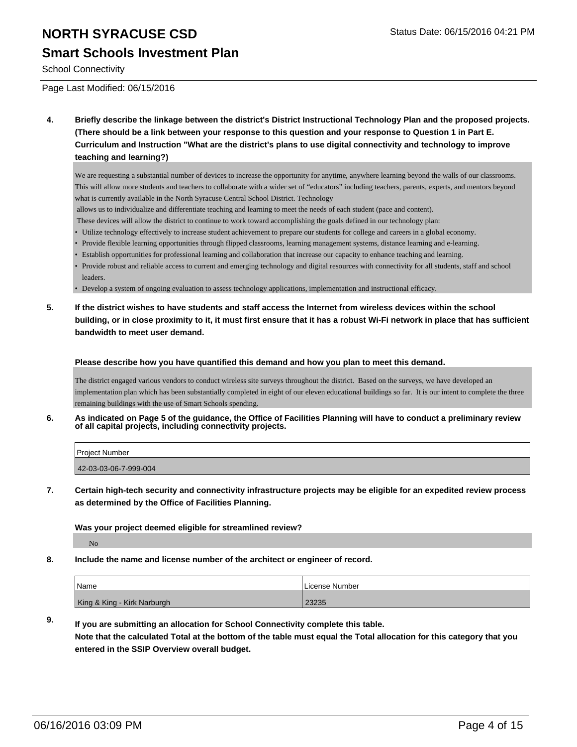### **Smart Schools Investment Plan**

School Connectivity

Page Last Modified: 06/15/2016

**4. Briefly describe the linkage between the district's District Instructional Technology Plan and the proposed projects. (There should be a link between your response to this question and your response to Question 1 in Part E. Curriculum and Instruction "What are the district's plans to use digital connectivity and technology to improve teaching and learning?)**

We are requesting a substantial number of devices to increase the opportunity for anytime, anywhere learning beyond the walls of our classrooms. This will allow more students and teachers to collaborate with a wider set of "educators" including teachers, parents, experts, and mentors beyond what is currently available in the North Syracuse Central School District. Technology

allows us to individualize and differentiate teaching and learning to meet the needs of each student (pace and content).

- These devices will allow the district to continue to work toward accomplishing the goals defined in our technology plan:
- Utilize technology effectively to increase student achievement to prepare our students for college and careers in a global economy.
- Provide flexible learning opportunities through flipped classrooms, learning management systems, distance learning and e-learning.
- Establish opportunities for professional learning and collaboration that increase our capacity to enhance teaching and learning.
- Provide robust and reliable access to current and emerging technology and digital resources with connectivity for all students, staff and school leaders.

• Develop a system of ongoing evaluation to assess technology applications, implementation and instructional efficacy.

**5. If the district wishes to have students and staff access the Internet from wireless devices within the school building, or in close proximity to it, it must first ensure that it has a robust Wi-Fi network in place that has sufficient bandwidth to meet user demand.**

**Please describe how you have quantified this demand and how you plan to meet this demand.**

The district engaged various vendors to conduct wireless site surveys throughout the district. Based on the surveys, we have developed an implementation plan which has been substantially completed in eight of our eleven educational buildings so far. It is our intent to complete the three remaining buildings with the use of Smart Schools spending.

**6. As indicated on Page 5 of the guidance, the Office of Facilities Planning will have to conduct a preliminary review of all capital projects, including connectivity projects.**

| Project Number        |  |
|-----------------------|--|
| 42-03-03-06-7-999-004 |  |

**7. Certain high-tech security and connectivity infrastructure projects may be eligible for an expedited review process as determined by the Office of Facilities Planning.**

**Was your project deemed eligible for streamlined review?**

No

**8. Include the name and license number of the architect or engineer of record.**

| Name                        | License Number |
|-----------------------------|----------------|
| King & King - Kirk Narburgh | 23235          |

**9. If you are submitting an allocation for School Connectivity complete this table. Note that the calculated Total at the bottom of the table must equal the Total allocation for this category that you entered in the SSIP Overview overall budget.**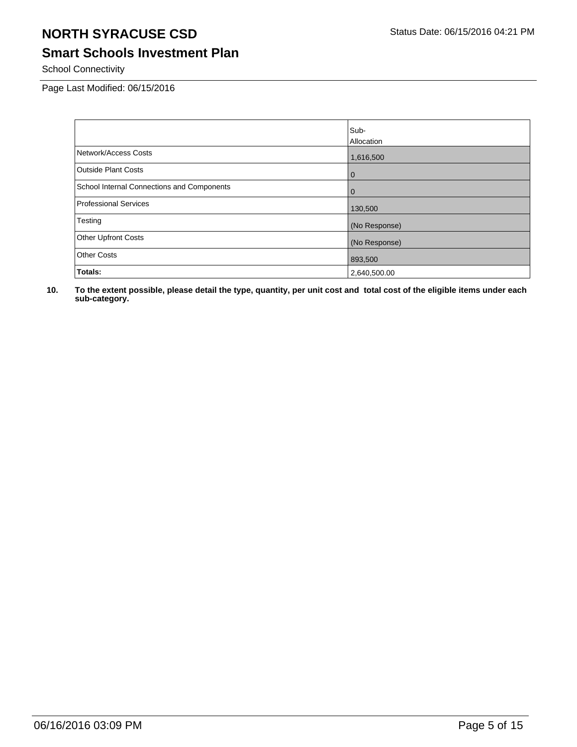## **Smart Schools Investment Plan**

School Connectivity

Page Last Modified: 06/15/2016

|                                            | Sub-          |
|--------------------------------------------|---------------|
|                                            | Allocation    |
| Network/Access Costs                       | 1,616,500     |
| <b>Outside Plant Costs</b>                 | <b>0</b>      |
| School Internal Connections and Components | l 0           |
| Professional Services                      | 130,500       |
| Testing                                    | (No Response) |
| <b>Other Upfront Costs</b>                 | (No Response) |
| <b>Other Costs</b>                         | 893,500       |
| Totals:                                    | 2,640,500.00  |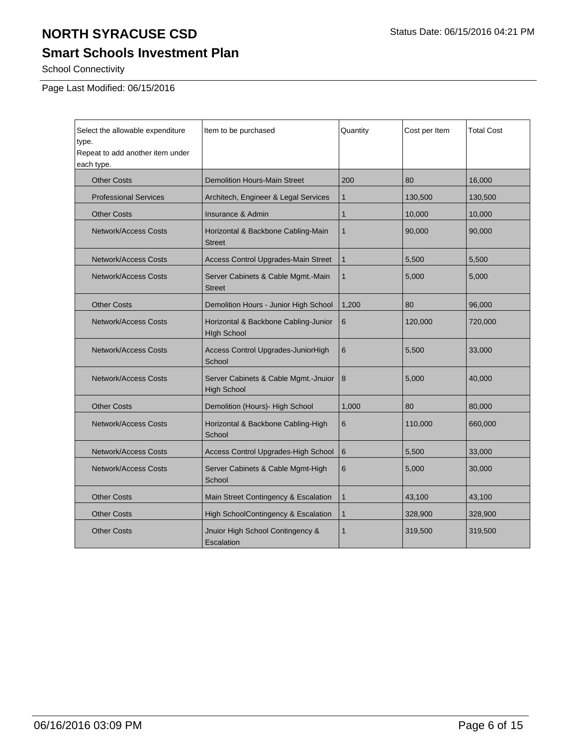## **Smart Schools Investment Plan**

School Connectivity

Page Last Modified: 06/15/2016

| Select the allowable expenditure<br>type.<br>Repeat to add another item under<br>each type. | Item to be purchased                                       | Quantity     | Cost per Item | <b>Total Cost</b> |
|---------------------------------------------------------------------------------------------|------------------------------------------------------------|--------------|---------------|-------------------|
| <b>Other Costs</b>                                                                          | <b>Demolition Hours-Main Street</b>                        | 200          | 80            | 16,000            |
| <b>Professional Services</b>                                                                | Architech, Engineer & Legal Services                       | $\mathbf{1}$ | 130,500       | 130,500           |
| <b>Other Costs</b>                                                                          | Insurance & Admin                                          | $\mathbf{1}$ | 10,000        | 10,000            |
| <b>Network/Access Costs</b>                                                                 | Horizontal & Backbone Cabling-Main<br><b>Street</b>        | $\mathbf{1}$ | 90,000        | 90,000            |
| <b>Network/Access Costs</b>                                                                 | Access Control Upgrades-Main Street                        | $\mathbf{1}$ | 5,500         | 5,500             |
| <b>Network/Access Costs</b>                                                                 | Server Cabinets & Cable Mgmt.-Main<br><b>Street</b>        | $\mathbf{1}$ | 5,000         | 5,000             |
| <b>Other Costs</b>                                                                          | Demolition Hours - Junior High School                      | 1,200        | 80            | 96,000            |
| Network/Access Costs                                                                        | Horizontal & Backbone Cabling-Junior<br><b>High School</b> | 6            | 120,000       | 720,000           |
| <b>Network/Access Costs</b>                                                                 | Access Control Upgrades-JuniorHigh<br>School               | 6            | 5,500         | 33,000            |
| <b>Network/Access Costs</b>                                                                 | Server Cabinets & Cable Mgmt.-Jnuior<br><b>High School</b> | 8            | 5,000         | 40,000            |
| <b>Other Costs</b>                                                                          | Demolition (Hours)- High School                            | 1,000        | 80            | 80,000            |
| <b>Network/Access Costs</b>                                                                 | Horizontal & Backbone Cabling-High<br>School               | 6            | 110,000       | 660,000           |
| <b>Network/Access Costs</b>                                                                 | Access Control Upgrades-High School                        | 6            | 5,500         | 33,000            |
| <b>Network/Access Costs</b>                                                                 | Server Cabinets & Cable Mgmt-High<br>School                | 6            | 5,000         | 30,000            |
| <b>Other Costs</b>                                                                          | Main Street Contingency & Escalation                       | $\mathbf{1}$ | 43,100        | 43,100            |
| <b>Other Costs</b>                                                                          | High SchoolContingency & Escalation                        | $\mathbf{1}$ | 328,900       | 328,900           |
| <b>Other Costs</b>                                                                          | Jnuior High School Contingency &<br>Escalation             | 1            | 319,500       | 319,500           |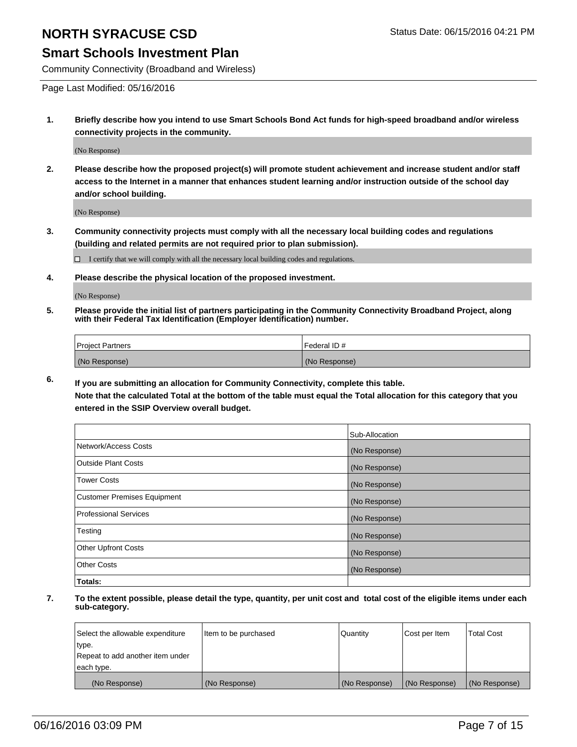#### **Smart Schools Investment Plan**

Community Connectivity (Broadband and Wireless)

Page Last Modified: 05/16/2016

**1. Briefly describe how you intend to use Smart Schools Bond Act funds for high-speed broadband and/or wireless connectivity projects in the community.**

(No Response)

**2. Please describe how the proposed project(s) will promote student achievement and increase student and/or staff access to the Internet in a manner that enhances student learning and/or instruction outside of the school day and/or school building.**

(No Response)

**3. Community connectivity projects must comply with all the necessary local building codes and regulations (building and related permits are not required prior to plan submission).**

 $\Box$  I certify that we will comply with all the necessary local building codes and regulations.

**4. Please describe the physical location of the proposed investment.**

(No Response)

**5. Please provide the initial list of partners participating in the Community Connectivity Broadband Project, along with their Federal Tax Identification (Employer Identification) number.**

| Project Partners | I Federal ID # |
|------------------|----------------|
| (No Response)    | (No Response)  |

**6. If you are submitting an allocation for Community Connectivity, complete this table.**

**Note that the calculated Total at the bottom of the table must equal the Total allocation for this category that you entered in the SSIP Overview overall budget.**

|                             | Sub-Allocation |
|-----------------------------|----------------|
| Network/Access Costs        | (No Response)  |
| Outside Plant Costs         | (No Response)  |
| <b>Tower Costs</b>          | (No Response)  |
| Customer Premises Equipment | (No Response)  |
| Professional Services       | (No Response)  |
| Testing                     | (No Response)  |
| Other Upfront Costs         | (No Response)  |
| Other Costs                 | (No Response)  |
| Totals:                     |                |

| Select the allowable expenditure | Item to be purchased | Quantity      | Cost per Item | <b>Total Cost</b> |
|----------------------------------|----------------------|---------------|---------------|-------------------|
| type.                            |                      |               |               |                   |
| Repeat to add another item under |                      |               |               |                   |
| each type.                       |                      |               |               |                   |
| (No Response)                    | (No Response)        | (No Response) | (No Response) | (No Response)     |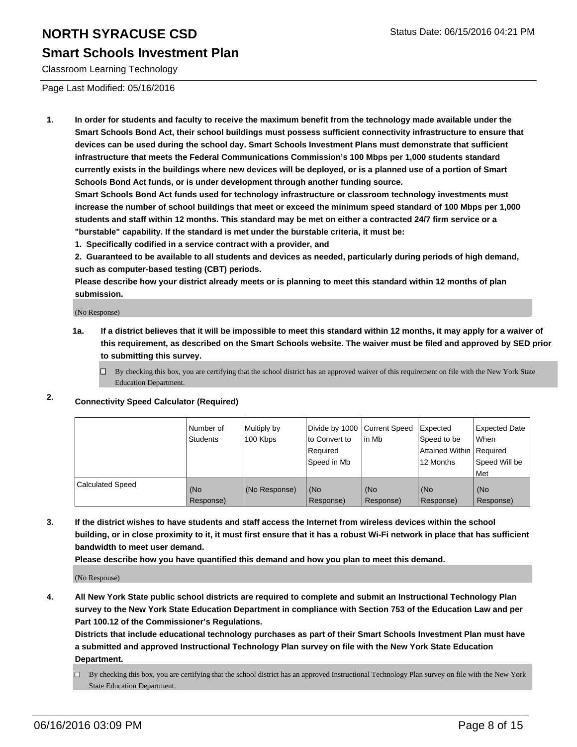#### **Smart Schools Investment Plan**

Classroom Learning Technology

Page Last Modified: 05/16/2016

**1. In order for students and faculty to receive the maximum benefit from the technology made available under the Smart Schools Bond Act, their school buildings must possess sufficient connectivity infrastructure to ensure that devices can be used during the school day. Smart Schools Investment Plans must demonstrate that sufficient infrastructure that meets the Federal Communications Commission's 100 Mbps per 1,000 students standard currently exists in the buildings where new devices will be deployed, or is a planned use of a portion of Smart Schools Bond Act funds, or is under development through another funding source.**

**Smart Schools Bond Act funds used for technology infrastructure or classroom technology investments must increase the number of school buildings that meet or exceed the minimum speed standard of 100 Mbps per 1,000 students and staff within 12 months. This standard may be met on either a contracted 24/7 firm service or a "burstable" capability. If the standard is met under the burstable criteria, it must be:**

**1. Specifically codified in a service contract with a provider, and**

**2. Guaranteed to be available to all students and devices as needed, particularly during periods of high demand, such as computer-based testing (CBT) periods.**

**Please describe how your district already meets or is planning to meet this standard within 12 months of plan submission.**

(No Response)

- **1a. If a district believes that it will be impossible to meet this standard within 12 months, it may apply for a waiver of this requirement, as described on the Smart Schools website. The waiver must be filed and approved by SED prior to submitting this survey.**
	- $\Box$  By checking this box, you are certifying that the school district has an approved waiver of this requirement on file with the New York State Education Department.
- **2. Connectivity Speed Calculator (Required)**

|                         | l Number of<br>Students | Multiply by<br>100 Kbps | Divide by 1000 Current Speed<br>to Convert to<br>l Reauired<br> Speed in Mb | lin Mb           | <b>Expected</b><br>Speed to be<br>Attained Within Required<br>12 Months | <b>Expected Date</b><br>l When<br>Speed Will be<br>l Met |
|-------------------------|-------------------------|-------------------------|-----------------------------------------------------------------------------|------------------|-------------------------------------------------------------------------|----------------------------------------------------------|
| <b>Calculated Speed</b> | (No<br>Response)        | (No Response)           | (No<br>Response)                                                            | (No<br>Response) | l (No<br>Response)                                                      | l (No<br>Response)                                       |

**3. If the district wishes to have students and staff access the Internet from wireless devices within the school building, or in close proximity to it, it must first ensure that it has a robust Wi-Fi network in place that has sufficient bandwidth to meet user demand.**

**Please describe how you have quantified this demand and how you plan to meet this demand.**

(No Response)

**4. All New York State public school districts are required to complete and submit an Instructional Technology Plan survey to the New York State Education Department in compliance with Section 753 of the Education Law and per Part 100.12 of the Commissioner's Regulations.**

**Districts that include educational technology purchases as part of their Smart Schools Investment Plan must have a submitted and approved Instructional Technology Plan survey on file with the New York State Education Department.**

By checking this box, you are certifying that the school district has an approved Instructional Technology Plan survey on file with the New York State Education Department.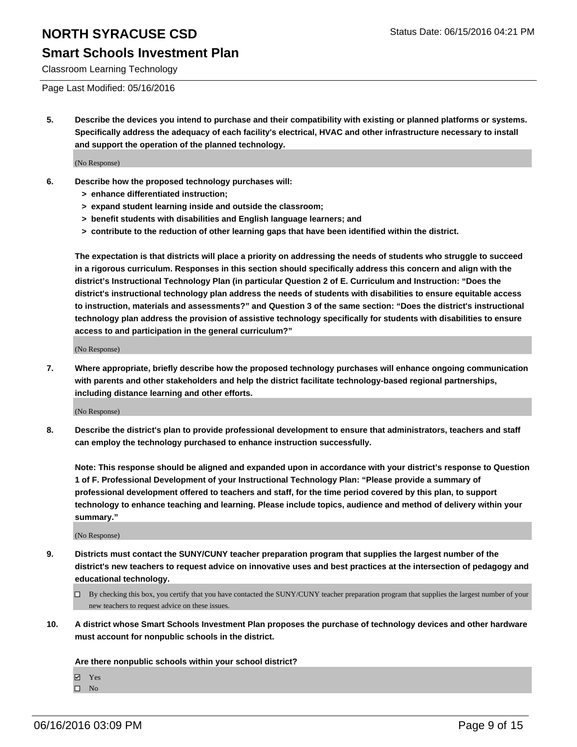#### **Smart Schools Investment Plan**

Classroom Learning Technology

#### Page Last Modified: 05/16/2016

**5. Describe the devices you intend to purchase and their compatibility with existing or planned platforms or systems. Specifically address the adequacy of each facility's electrical, HVAC and other infrastructure necessary to install and support the operation of the planned technology.**

(No Response)

- **6. Describe how the proposed technology purchases will:**
	- **> enhance differentiated instruction;**
	- **> expand student learning inside and outside the classroom;**
	- **> benefit students with disabilities and English language learners; and**
	- **> contribute to the reduction of other learning gaps that have been identified within the district.**

**The expectation is that districts will place a priority on addressing the needs of students who struggle to succeed in a rigorous curriculum. Responses in this section should specifically address this concern and align with the district's Instructional Technology Plan (in particular Question 2 of E. Curriculum and Instruction: "Does the district's instructional technology plan address the needs of students with disabilities to ensure equitable access to instruction, materials and assessments?" and Question 3 of the same section: "Does the district's instructional technology plan address the provision of assistive technology specifically for students with disabilities to ensure access to and participation in the general curriculum?"**

(No Response)

**7. Where appropriate, briefly describe how the proposed technology purchases will enhance ongoing communication with parents and other stakeholders and help the district facilitate technology-based regional partnerships, including distance learning and other efforts.**

(No Response)

**8. Describe the district's plan to provide professional development to ensure that administrators, teachers and staff can employ the technology purchased to enhance instruction successfully.**

**Note: This response should be aligned and expanded upon in accordance with your district's response to Question 1 of F. Professional Development of your Instructional Technology Plan: "Please provide a summary of professional development offered to teachers and staff, for the time period covered by this plan, to support technology to enhance teaching and learning. Please include topics, audience and method of delivery within your summary."**

(No Response)

- **9. Districts must contact the SUNY/CUNY teacher preparation program that supplies the largest number of the district's new teachers to request advice on innovative uses and best practices at the intersection of pedagogy and educational technology.**
	- $\Box$  By checking this box, you certify that you have contacted the SUNY/CUNY teacher preparation program that supplies the largest number of your new teachers to request advice on these issues.
- **10. A district whose Smart Schools Investment Plan proposes the purchase of technology devices and other hardware must account for nonpublic schools in the district.**

**Are there nonpublic schools within your school district?**

- **Ø** Yes
- $\square$  No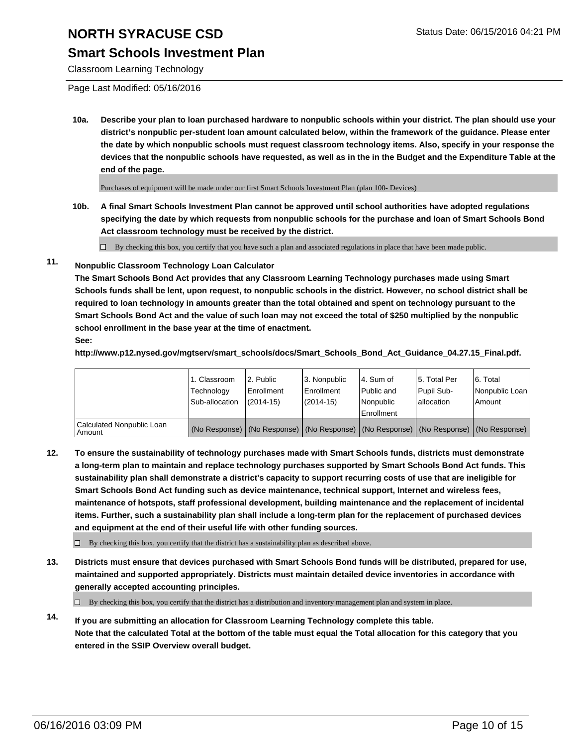### **Smart Schools Investment Plan**

Classroom Learning Technology

Page Last Modified: 05/16/2016

**10a. Describe your plan to loan purchased hardware to nonpublic schools within your district. The plan should use your district's nonpublic per-student loan amount calculated below, within the framework of the guidance. Please enter the date by which nonpublic schools must request classroom technology items. Also, specify in your response the devices that the nonpublic schools have requested, as well as in the in the Budget and the Expenditure Table at the end of the page.**

Purchases of equipment will be made under our first Smart Schools Investment Plan (plan 100- Devices)

**10b. A final Smart Schools Investment Plan cannot be approved until school authorities have adopted regulations specifying the date by which requests from nonpublic schools for the purchase and loan of Smart Schools Bond Act classroom technology must be received by the district.**

 $\Box$  By checking this box, you certify that you have such a plan and associated regulations in place that have been made public.

#### **11. Nonpublic Classroom Technology Loan Calculator**

**The Smart Schools Bond Act provides that any Classroom Learning Technology purchases made using Smart Schools funds shall be lent, upon request, to nonpublic schools in the district. However, no school district shall be required to loan technology in amounts greater than the total obtained and spent on technology pursuant to the Smart Schools Bond Act and the value of such loan may not exceed the total of \$250 multiplied by the nonpublic school enrollment in the base year at the time of enactment. See:**

**http://www.p12.nysed.gov/mgtserv/smart\_schools/docs/Smart\_Schools\_Bond\_Act\_Guidance\_04.27.15\_Final.pdf.**

|                                         | 1. Classroom<br>Technology<br>Sub-allocation | 2. Public<br>Enrollment<br>$(2014 - 15)$ | 3. Nonpublic<br><b>Enrollment</b><br>(2014-15) | 4. Sum of<br>Public and<br>Nonpublic<br>Enrollment                                            | 5. Total Per<br>Pupil Sub-<br>lallocation | 6. Total<br>Nonpublic Loan<br>Amount |
|-----------------------------------------|----------------------------------------------|------------------------------------------|------------------------------------------------|-----------------------------------------------------------------------------------------------|-------------------------------------------|--------------------------------------|
| Calculated Nonpublic Loan<br>l Amount i |                                              |                                          |                                                | (No Response)   (No Response)   (No Response)   (No Response)   (No Response)   (No Response) |                                           |                                      |

**12. To ensure the sustainability of technology purchases made with Smart Schools funds, districts must demonstrate a long-term plan to maintain and replace technology purchases supported by Smart Schools Bond Act funds. This sustainability plan shall demonstrate a district's capacity to support recurring costs of use that are ineligible for Smart Schools Bond Act funding such as device maintenance, technical support, Internet and wireless fees, maintenance of hotspots, staff professional development, building maintenance and the replacement of incidental items. Further, such a sustainability plan shall include a long-term plan for the replacement of purchased devices and equipment at the end of their useful life with other funding sources.**

 $\Box$  By checking this box, you certify that the district has a sustainability plan as described above.

**13. Districts must ensure that devices purchased with Smart Schools Bond funds will be distributed, prepared for use, maintained and supported appropriately. Districts must maintain detailed device inventories in accordance with generally accepted accounting principles.**

 $\Box$  By checking this box, you certify that the district has a distribution and inventory management plan and system in place.

**14. If you are submitting an allocation for Classroom Learning Technology complete this table. Note that the calculated Total at the bottom of the table must equal the Total allocation for this category that you entered in the SSIP Overview overall budget.**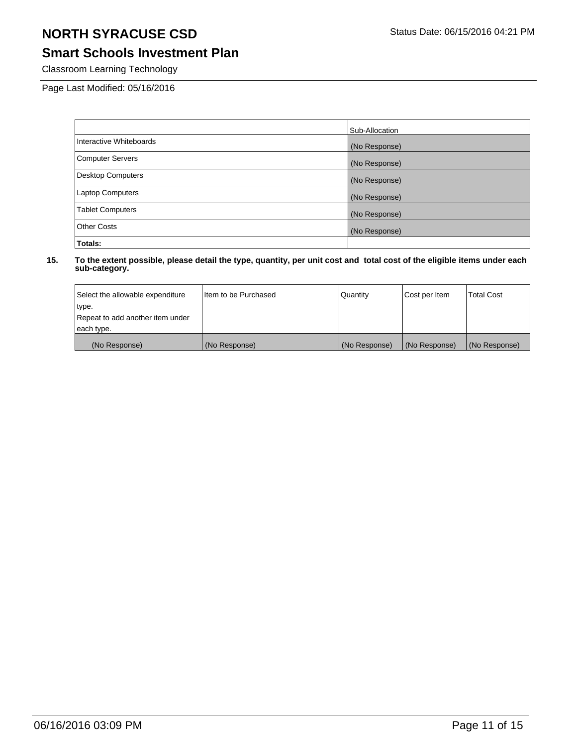## **Smart Schools Investment Plan**

Classroom Learning Technology

Page Last Modified: 05/16/2016

|                          | Sub-Allocation |
|--------------------------|----------------|
| Interactive Whiteboards  | (No Response)  |
| <b>Computer Servers</b>  | (No Response)  |
| <b>Desktop Computers</b> | (No Response)  |
| <b>Laptop Computers</b>  | (No Response)  |
| <b>Tablet Computers</b>  | (No Response)  |
| <b>Other Costs</b>       | (No Response)  |
| Totals:                  |                |

| Select the allowable expenditure | I Item to be Purchased | Quantity      | Cost per Item | <b>Total Cost</b> |
|----------------------------------|------------------------|---------------|---------------|-------------------|
| type.                            |                        |               |               |                   |
| Repeat to add another item under |                        |               |               |                   |
| each type.                       |                        |               |               |                   |
| (No Response)                    | (No Response)          | (No Response) | (No Response) | (No Response)     |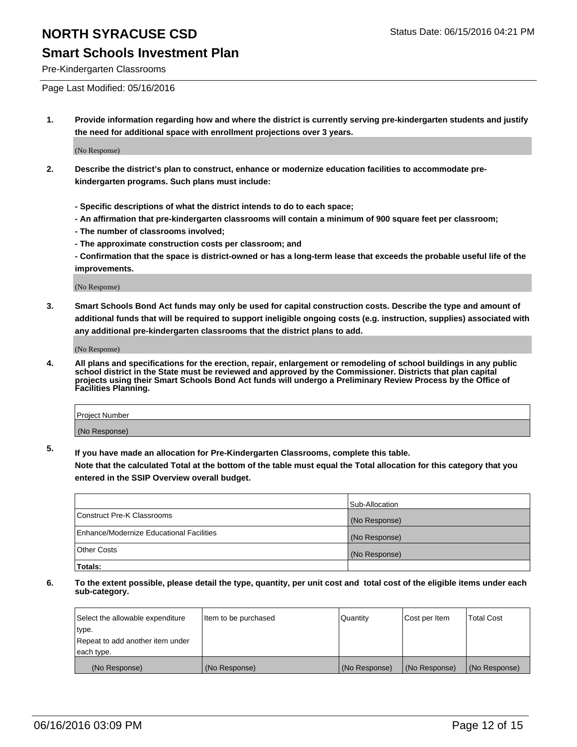### **Smart Schools Investment Plan**

Pre-Kindergarten Classrooms

Page Last Modified: 05/16/2016

**1. Provide information regarding how and where the district is currently serving pre-kindergarten students and justify the need for additional space with enrollment projections over 3 years.**

(No Response)

- **2. Describe the district's plan to construct, enhance or modernize education facilities to accommodate prekindergarten programs. Such plans must include:**
	- **Specific descriptions of what the district intends to do to each space;**
	- **An affirmation that pre-kindergarten classrooms will contain a minimum of 900 square feet per classroom;**
	- **The number of classrooms involved;**
	- **The approximate construction costs per classroom; and**
	- **Confirmation that the space is district-owned or has a long-term lease that exceeds the probable useful life of the improvements.**

(No Response)

**3. Smart Schools Bond Act funds may only be used for capital construction costs. Describe the type and amount of additional funds that will be required to support ineligible ongoing costs (e.g. instruction, supplies) associated with any additional pre-kindergarten classrooms that the district plans to add.**

(No Response)

**4. All plans and specifications for the erection, repair, enlargement or remodeling of school buildings in any public school district in the State must be reviewed and approved by the Commissioner. Districts that plan capital projects using their Smart Schools Bond Act funds will undergo a Preliminary Review Process by the Office of Facilities Planning.**

| Project Number |  |
|----------------|--|
| (No Response)  |  |

**5. If you have made an allocation for Pre-Kindergarten Classrooms, complete this table.**

**Note that the calculated Total at the bottom of the table must equal the Total allocation for this category that you entered in the SSIP Overview overall budget.**

|                                          | Sub-Allocation |
|------------------------------------------|----------------|
| Construct Pre-K Classrooms               | (No Response)  |
| Enhance/Modernize Educational Facilities | (No Response)  |
| Other Costs                              | (No Response)  |
| Totals:                                  |                |

| Select the allowable expenditure | Item to be purchased | Quantity      | Cost per Item | <b>Total Cost</b> |
|----------------------------------|----------------------|---------------|---------------|-------------------|
| type.                            |                      |               |               |                   |
| Repeat to add another item under |                      |               |               |                   |
| each type.                       |                      |               |               |                   |
| (No Response)                    | (No Response)        | (No Response) | (No Response) | (No Response)     |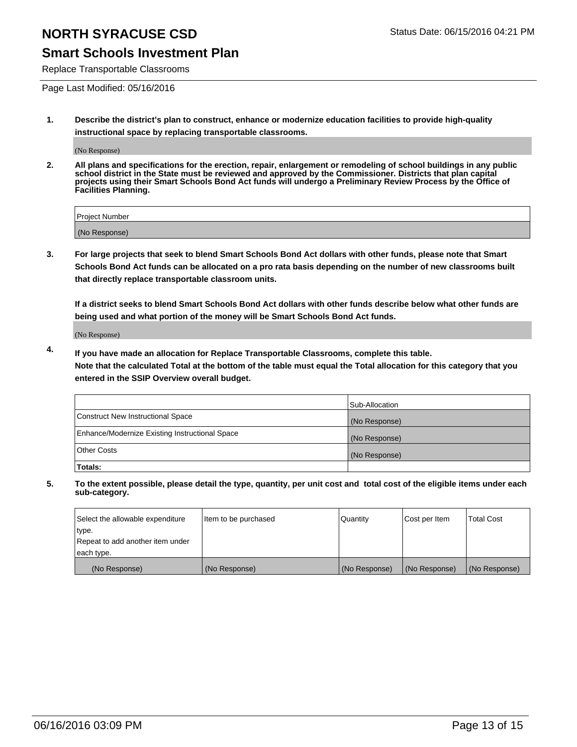### **Smart Schools Investment Plan**

Replace Transportable Classrooms

Page Last Modified: 05/16/2016

**1. Describe the district's plan to construct, enhance or modernize education facilities to provide high-quality instructional space by replacing transportable classrooms.**

(No Response)

**2. All plans and specifications for the erection, repair, enlargement or remodeling of school buildings in any public school district in the State must be reviewed and approved by the Commissioner. Districts that plan capital projects using their Smart Schools Bond Act funds will undergo a Preliminary Review Process by the Office of Facilities Planning.**

| <b>Project Number</b> |  |
|-----------------------|--|
| (No Response)         |  |

**3. For large projects that seek to blend Smart Schools Bond Act dollars with other funds, please note that Smart Schools Bond Act funds can be allocated on a pro rata basis depending on the number of new classrooms built that directly replace transportable classroom units.**

**If a district seeks to blend Smart Schools Bond Act dollars with other funds describe below what other funds are being used and what portion of the money will be Smart Schools Bond Act funds.**

(No Response)

**4. If you have made an allocation for Replace Transportable Classrooms, complete this table. Note that the calculated Total at the bottom of the table must equal the Total allocation for this category that you entered in the SSIP Overview overall budget.**

|                                                | Sub-Allocation |
|------------------------------------------------|----------------|
| Construct New Instructional Space              | (No Response)  |
| Enhance/Modernize Existing Instructional Space | (No Response)  |
| <b>Other Costs</b>                             | (No Response)  |
| Totals:                                        |                |

| Select the allowable expenditure | Item to be purchased | <b>Quantity</b> | Cost per Item | <b>Total Cost</b> |
|----------------------------------|----------------------|-----------------|---------------|-------------------|
| type.                            |                      |                 |               |                   |
| Repeat to add another item under |                      |                 |               |                   |
| each type.                       |                      |                 |               |                   |
| (No Response)                    | (No Response)        | (No Response)   | (No Response) | (No Response)     |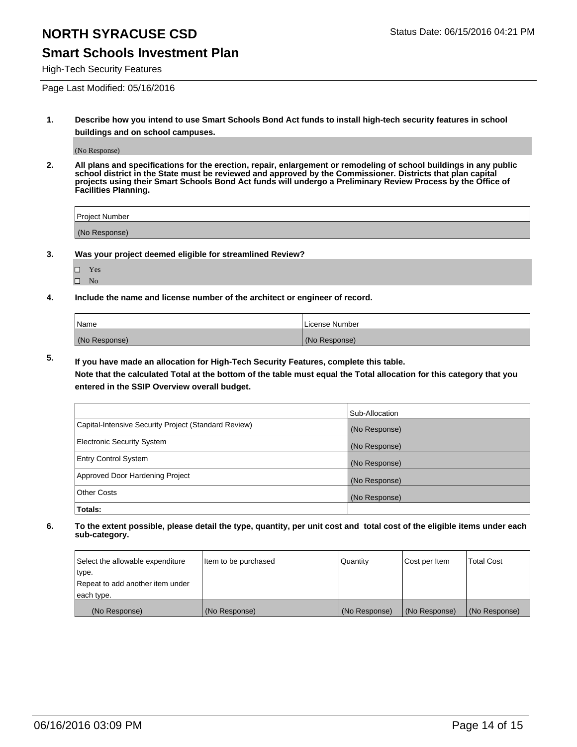#### **Smart Schools Investment Plan**

High-Tech Security Features

Page Last Modified: 05/16/2016

**1. Describe how you intend to use Smart Schools Bond Act funds to install high-tech security features in school buildings and on school campuses.**

(No Response)

**2. All plans and specifications for the erection, repair, enlargement or remodeling of school buildings in any public school district in the State must be reviewed and approved by the Commissioner. Districts that plan capital projects using their Smart Schools Bond Act funds will undergo a Preliminary Review Process by the Office of Facilities Planning.** 

| Project Number |  |
|----------------|--|
| (No Response)  |  |

**3. Was your project deemed eligible for streamlined Review?**

□ Yes  $\hfill \square$  <br> No

**4. Include the name and license number of the architect or engineer of record.**

| Name          | License Number |
|---------------|----------------|
| (No Response) | (No Response)  |

**5. If you have made an allocation for High-Tech Security Features, complete this table.**

**Note that the calculated Total at the bottom of the table must equal the Total allocation for this category that you entered in the SSIP Overview overall budget.**

|                                                      | Sub-Allocation |
|------------------------------------------------------|----------------|
| Capital-Intensive Security Project (Standard Review) | (No Response)  |
| <b>Electronic Security System</b>                    | (No Response)  |
| <b>Entry Control System</b>                          | (No Response)  |
| Approved Door Hardening Project                      | (No Response)  |
| <b>Other Costs</b>                                   | (No Response)  |
| Totals:                                              |                |

| Select the allowable expenditure | Item to be purchased | Quantity      | Cost per Item | <b>Total Cost</b> |
|----------------------------------|----------------------|---------------|---------------|-------------------|
| type.                            |                      |               |               |                   |
| Repeat to add another item under |                      |               |               |                   |
| each type.                       |                      |               |               |                   |
| (No Response)                    | (No Response)        | (No Response) | (No Response) | (No Response)     |